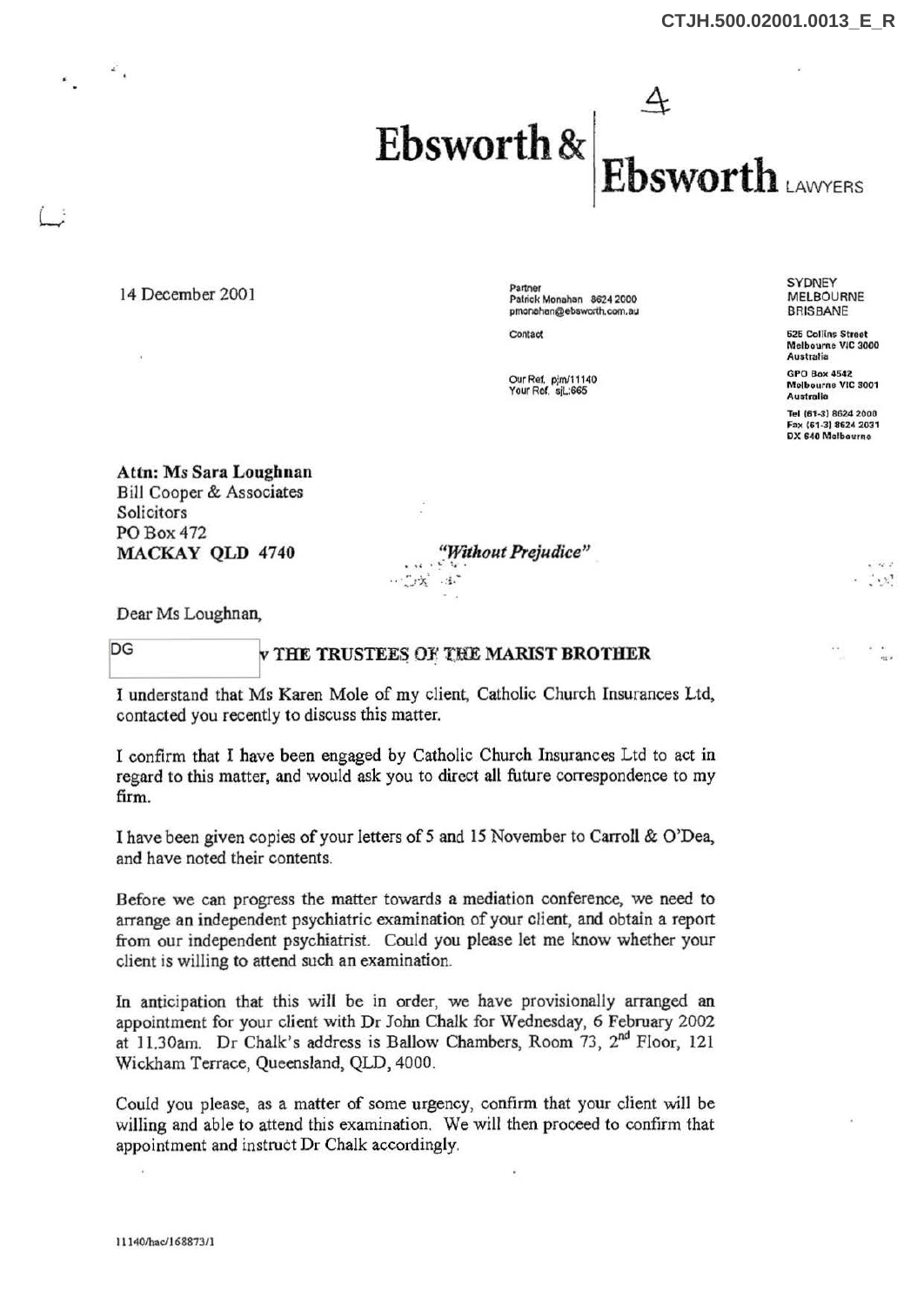

14 December 2001

,·

Partner Patrick Monahon 8624 2000 pmonahan@ebsworth.com.au

Contact

our Ref. pjrn/11140 Your Ref. sJL:665

**SYDNEY** MELBOURNE BRISBANE

525 Collins Street Melbourne VIC 3000 Australia

**GPO Box 4542** Molbourne VIC 3001 Australia

Tel (61-3) 8624 2000 Fax (61-3) 8624 2031 DX 640 Molbavrno

 $\cdot$   $\cdot$   $\cdot$   $\cdot$ 

Attn: *Ms* Sara Loughnan Bill Cooper & Associates Solicitors P0Box472 MACKAY QLD 4740

'~ Wttlz ut *Prejudice"* . *.. :* ' ~ -; .. .

Dear Ms Loughnan,

## DG WITHE TRUSTEES OF THE MARIST BROTHER

I understand that Ms Karen Mole of my client, Catholic Church Insurances Ltd, contacted you recently to discuss this matter.

I confirm that I have been engaged by Catholic Church Insurances Ltd to act in regard to this matter, and would ask you to direct all future correspondence to my firm.

I have been given copies of your letters of 5 and 15 November to Carroll & O'Dea, and have noted their contents.

Before we can progress the matter towards a mediation conference, we need to arrange an independent psychiatric examination of your client, and obtain a report from our independent psychiatrist. Could you please let me know whether your client is willing to attend such an examination.

In anticipation that this will be in order, we have provisionally arranged an appointment for your client with Dr John Chalk for Wednesday, 6 February 2002 at 11.30am. Dr Chalk's address is Ballow Chambers, Room 73,  $2^{nd}$  Floor, 121 Wickham Terrace, Queensland, QLD, 4000.

Could you please, as a matter of some urgency, confirm that your client will be willing and able to attend this examination. We will then proceed to confirm that appointment and instruct Dr Chalk accordingly.